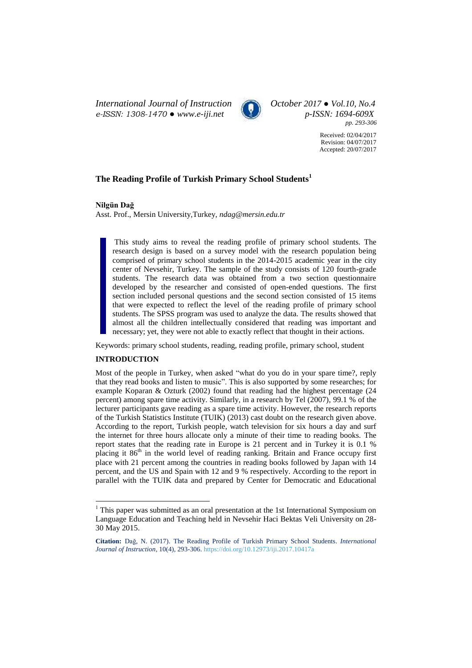*International Journal of Instruction*  $\bigodot$  *October* 2017 • *Vol.10, No.4 e-ISSN: 1308-1470* • *www.e-iji.net*  $\bigodot$  *D-ISSN: 1694-609X e-ISSN: 1308-1470 ● [www.e-iji.net](http://www.e-iji.net/) p-ISSN: 1694-609X*



*pp. 293-306*

Received: 02/04/2017 Revision: 04/07/2017 Accepted: 20/07/2017

# **The Reading Profile of Turkish Primary School Students<sup>1</sup>**

**Nilgün Dağ**

Asst. Prof., Mersin University,Turkey, *ndag@mersin.edu.tr*

This study aims to reveal the reading profile of primary school students. The research design is based on a survey model with the research population being comprised of primary school students in the 2014-2015 academic year in the city center of Nevsehir, Turkey. The sample of the study consists of 120 fourth-grade students. The research data was obtained from a two section questionnaire developed by the researcher and consisted of open-ended questions. The first section included personal questions and the second section consisted of 15 items that were expected to reflect the level of the reading profile of primary school students. The SPSS program was used to analyze the data. The results showed that almost all the children intellectually considered that reading was important and necessary; yet, they were not able to exactly reflect that thought in their actions.

Keywords: primary school students, reading, reading profile, primary school, student

## **INTRODUCTION**

 $\overline{a}$ 

Most of the people in Turkey, when asked "what do you do in your spare time?, reply that they read books and listen to music". This is also supported by some researches; for example Koparan & Ozturk (2002) found that reading had the highest percentage (24 percent) among spare time activity. Similarly, in a research by Tel (2007), 99.1 % of the lecturer participants gave reading as a spare time activity. However, the research reports of the Turkish Statistics Institute (TUIK) (2013) cast doubt on the research given above. According to the report, Turkish people, watch television for six hours a day and surf the internet for three hours allocate only a minute of their time to reading books. The report states that the reading rate in Europe is 21 percent and in Turkey it is 0.1 % placing it 86<sup>th</sup> in the world level of reading ranking. Britain and France occupy first place with 21 percent among the countries in reading books followed by Japan with 14 percent, and the US and Spain with 12 and 9 % respectively. According to the report in parallel with the TUIK data and prepared by Center for Democratic and Educational

<sup>&</sup>lt;sup>1</sup> This paper was submitted as an oral presentation at the 1st International Symposium on Language Education and Teaching held in Nevsehir Haci Bektas Veli University on 28- 30 May 2015.

**Citation:** Dağ, N. (2017). The Reading Profile of Turkish Primary School Students. *International Journal of Instruction*, 10(4), 293-306. <https://doi.org/10.12973/iji.2017.10417a>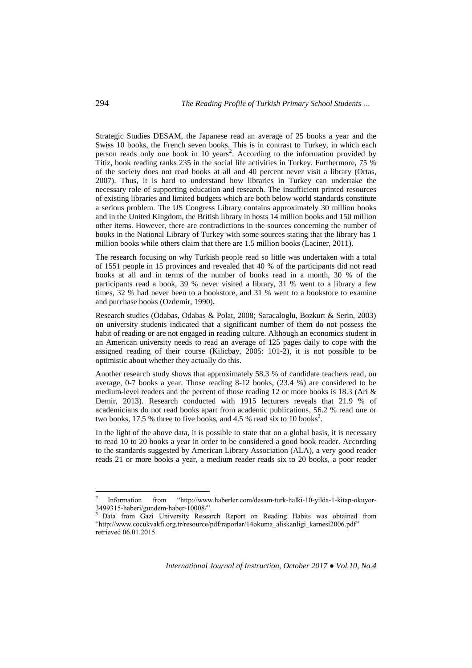Strategic Studies DESAM, the Japanese read an average of 25 books a year and the Swiss 10 books, the French seven books. This is in contrast to Turkey, in which each person reads only one book in 10 years<sup>2</sup>. According to the information provided by Titiz, book reading ranks 235 in the social life activities in Turkey. Furthermore, 75 % of the society does not read books at all and 40 percent never visit a library (Ortas, 2007). Thus, it is hard to understand how libraries in Turkey can undertake the necessary role of supporting education and research. The insufficient printed resources of existing libraries and limited budgets which are both below world standards constitute a serious problem. The US Congress Library contains approximately 30 million books and in the United Kingdom, the British library in hosts 14 million books and 150 million other items. However, there are contradictions in the sources concerning the number of books in the National Library of Turkey with some sources stating that the library has 1 million books while others claim that there are 1.5 million books (Laciner, 2011).

The research focusing on why Turkish people read so little was undertaken with a total of 1551 people in 15 provinces and revealed that 40 % of the participants did not read books at all and in terms of the number of books read in a month, 30 % of the participants read a book, 39 % never visited a library, 31 % went to a library a few times, 32 % had never been to a bookstore, and 31 % went to a bookstore to examine and purchase books (Ozdemir, 1990).

Research studies (Odabas, Odabas & Polat, 2008; Saracaloglu, Bozkurt & Serin, 2003) on university students indicated that a significant number of them do not possess the habit of reading or are not engaged in reading culture. Although an economics student in an American university needs to read an average of 125 pages daily to cope with the assigned reading of their course (Kilicbay, 2005: 101-2), it is not possible to be optimistic about whether they actually do this.

Another research study shows that approximately 58.3 % of candidate teachers read, on average, 0-7 books a year. Those reading 8-12 books, (23.4 %) are considered to be medium-level readers and the percent of those reading 12 or more books is 18.3 (Ari & Demir, 2013). Research conducted with 1915 lecturers reveals that 21.9 % of academicians do not read books apart from academic publications, 56.2 % read one or two books, 17.5 % three to five books, and 4.5 % read six to 10 books<sup>3</sup>.

In the light of the above data, it is possible to state that on a global basis, it is necessary to read 10 to 20 books a year in order to be considered a good book reader. According to the standards suggested by American Library Association (ALA), a very good reader reads 21 or more books a year, a medium reader reads six to 20 books, a poor reader

*International Journal of Instruction, October 2017 ● Vol.10, No.4*

 $\overline{a}$ 

<sup>2</sup> Information from "[http://www.haberler.com/desam-turk-halki-10-yilda-1-kitap-okuyor-](http://www.haberler.com/desam-turk-halki-10-yilda-1-kitap-okuyor-3499315-haberi/gundem-haber-10008/)[3499315-haberi/gundem-haber-10008/](http://www.haberler.com/desam-turk-halki-10-yilda-1-kitap-okuyor-3499315-haberi/gundem-haber-10008/)".

<sup>&</sup>lt;sup>3</sup> Data from Gazi University Research Report on Reading Habits was obtained from "[http://www.cocukvakfi.org.tr/resource/pdf/raporlar/14okuma\\_aliskanligi\\_karnesi2006.pdf](http://www.cocukvakfi.org.tr/resource/pdf/raporlar/14okuma_aliskanligi_karnesi2006.pdf)" retrieved 06.01.2015.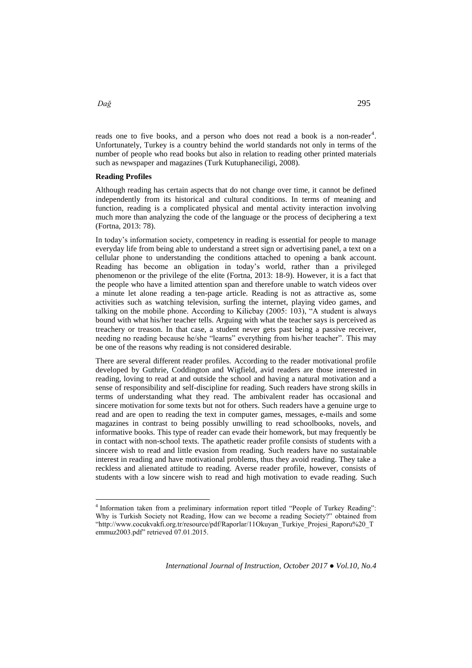reads one to five books, and a person who does not read a book is a non-reader<sup>4</sup>. Unfortunately, Turkey is a country behind the world standards not only in terms of the number of people who read books but also in relation to reading other printed materials such as newspaper and magazines (Turk Kutuphaneciligi, 2008).

## **Reading Profiles**

Although reading has certain aspects that do not change over time, it cannot be defined independently from its historical and cultural conditions. In terms of meaning and function, reading is a complicated physical and mental activity interaction involving much more than analyzing the code of the language or the process of deciphering a text (Fortna, 2013: 78).

In today's information society, competency in reading is essential for people to manage everyday life from being able to understand a street sign or advertising panel, a text on a cellular phone to understanding the conditions attached to opening a bank account. Reading has become an obligation in today's world, rather than a privileged phenomenon or the privilege of the elite (Fortna, 2013: 18-9). However, it is a fact that the people who have a limited attention span and therefore unable to watch videos over a minute let alone reading a ten-page article. Reading is not as attractive as, some activities such as watching television, surfing the internet, playing video games, and talking on the mobile phone. According to Kilicbay (2005: 103), "A student is always bound with what his/her teacher tells. Arguing with what the teacher says is perceived as treachery or treason. In that case, a student never gets past being a passive receiver, needing no reading because he/she "learns" everything from his/her teacher". This may be one of the reasons why reading is not considered desirable.

There are several different reader profiles. According to the reader motivational profile developed by Guthrie, Coddington and Wigfield, avid readers are those interested in reading, loving to read at and outside the school and having a natural motivation and a sense of responsibility and self-discipline for reading. Such readers have strong skills in terms of understanding what they read. The ambivalent reader has occasional and sincere motivation for some texts but not for others. Such readers have a genuine urge to read and are open to reading the text in computer games, messages, e-mails and some magazines in contrast to being possibly unwilling to read schoolbooks, novels, and informative books. This type of reader can evade their homework, but may frequently be in contact with non-school texts. The apathetic reader profile consists of students with a sincere wish to read and little evasion from reading. Such readers have no sustainable interest in reading and have motivational problems, thus they avoid reading. They take a reckless and alienated attitude to reading. Averse reader profile, however, consists of students with a low sincere wish to read and high motivation to evade reading. Such

 4 Information taken from a preliminary information report titled "People of Turkey Reading": Why is Turkish Society not Reading, How can we become a reading Society?" obtained from "[http://www.cocukvakfi.org.tr/resource/pdf/Raporlar/11Okuyan\\_Turkiye\\_Projesi\\_Raporu%20\\_T](http://www.cocukvakfi.org.tr/resource/pdf/Raporlar/11Okuyan_Turkiye_Projesi_Raporu%20_Temmuz2003.pdf) [emmuz2003.pdf](http://www.cocukvakfi.org.tr/resource/pdf/Raporlar/11Okuyan_Turkiye_Projesi_Raporu%20_Temmuz2003.pdf)" retrieved 07.01.2015.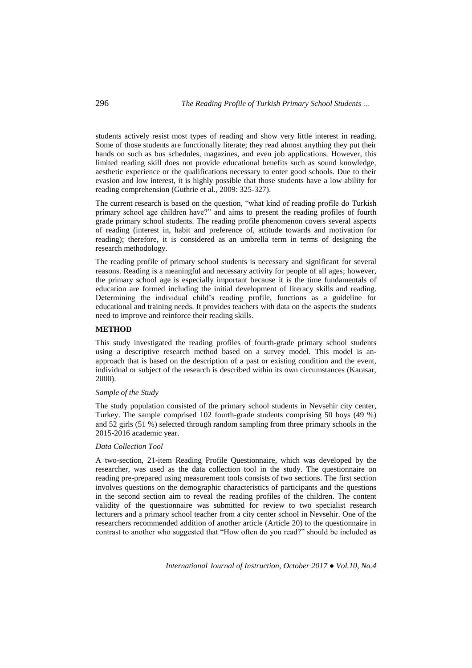students actively resist most types of reading and show very little interest in reading. Some of those students are functionally literate; they read almost anything they put their hands on such as bus schedules, magazines, and even job applications. However, this limited reading skill does not provide educational benefits such as sound knowledge, aesthetic experience or the qualifications necessary to enter good schools. Due to their evasion and low interest, it is highly possible that those students have a low ability for reading comprehension (Guthrie et al., 2009: 325-327).

The current research is based on the question, "what kind of reading profile do Turkish primary school age children have?" and aims to present the reading profiles of fourth grade primary school students. The reading profile phenomenon covers several aspects of reading (interest in, habit and preference of, attitude towards and motivation for reading); therefore, it is considered as an umbrella term in terms of designing the research methodology.

The reading profile of primary school students is necessary and significant for several reasons. Reading is a meaningful and necessary activity for people of all ages; however, the primary school age is especially important because it is the time fundamentals of education are formed including the initial development of literacy skills and reading. Determining the individual child's reading profile, functions as a guideline for educational and training needs. It provides teachers with data on the aspects the students need to improve and reinforce their reading skills.

### **METHOD**

This study investigated the reading profiles of fourth-grade primary school students using a descriptive research method based on a survey model. This model is anapproach that is based on the description of a past or existing condition and the event, individual or subject of the research is described within its own circumstances (Karasar, 2000).

### *Sample of the Study*

The study population consisted of the primary school students in Nevsehir city center, Turkey. The sample comprised 102 fourth-grade students comprising 50 boys (49 %) and 52 girls (51 %) selected through random sampling from three primary schools in the 2015-2016 academic year.

## *Data Collection Tool*

A two-section, 21-item Reading Profile Questionnaire, which was developed by the researcher, was used as the data collection tool in the study. The questionnaire on reading pre-prepared using measurement tools consists of two sections. The first section involves questions on the demographic characteristics of participants and the questions in the second section aim to reveal the reading profiles of the children. The content validity of the questionnaire was submitted for review to two specialist research lecturers and a primary school teacher from a city center school in Nevsehir. One of the researchers recommended addition of another article (Article 20) to the questionnaire in contrast to another who suggested that "How often do you read?" should be included as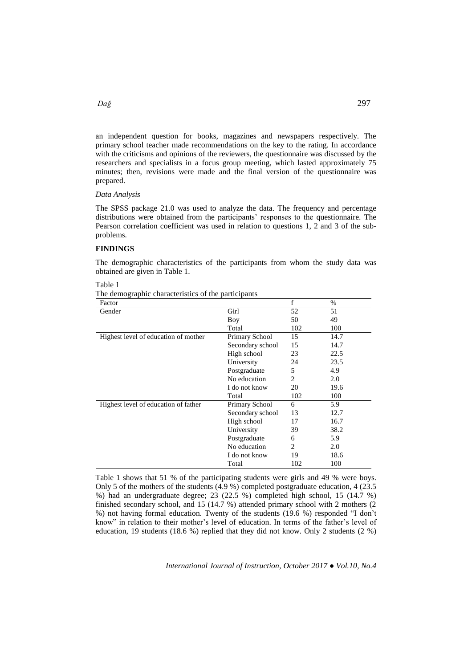# *Dağ* 297

an independent question for books, magazines and newspapers respectively. The primary school teacher made recommendations on the key to the rating. In accordance with the criticisms and opinions of the reviewers, the questionnaire was discussed by the researchers and specialists in a focus group meeting, which lasted approximately 75 minutes; then, revisions were made and the final version of the questionnaire was prepared.

# *Data Analysis*

The SPSS package 21.0 was used to analyze the data. The frequency and percentage distributions were obtained from the participants' responses to the questionnaire. The Pearson correlation coefficient was used in relation to questions 1, 2 and 3 of the subproblems.

### **FINDINGS**

The demographic characteristics of the participants from whom the study data was obtained are given in Table 1.

Table 1

| The demographic characteristics of the participants |  |
|-----------------------------------------------------|--|
|-----------------------------------------------------|--|

| Factor                               |                  | f   | $\%$ |
|--------------------------------------|------------------|-----|------|
| Gender                               | Girl             | 52  | 51   |
|                                      | Boy              | 50  | 49   |
|                                      | Total            | 102 | 100  |
| Highest level of education of mother | Primary School   | 15  | 14.7 |
|                                      | Secondary school | 15  | 14.7 |
|                                      | High school      | 23  | 22.5 |
|                                      | University       | 24  | 23.5 |
|                                      | Postgraduate     | 5   | 4.9  |
|                                      | No education     | 2   | 2.0  |
|                                      | I do not know    | 20  | 19.6 |
|                                      | Total            | 102 | 100  |
| Highest level of education of father | Primary School   | 6   | 5.9  |
|                                      | Secondary school | 13  | 12.7 |
|                                      | High school      | 17  | 16.7 |
|                                      | University       | 39  | 38.2 |
|                                      | Postgraduate     | 6   | 5.9  |
|                                      | No education     | 2   | 2.0  |
|                                      | I do not know    | 19  | 18.6 |
|                                      | Total            | 102 | 100  |

Table 1 shows that 51 % of the participating students were girls and 49 % were boys. Only 5 of the mothers of the students (4.9 %) completed postgraduate education, 4 (23.5 %) had an undergraduate degree; 23 (22.5 %) completed high school, 15 (14.7 %) finished secondary school, and 15 (14.7 %) attended primary school with 2 mothers (2 %) not having formal education. Twenty of the students (19.6 %) responded "I don't know" in relation to their mother's level of education. In terms of the father's level of education, 19 students (18.6 %) replied that they did not know. Only 2 students (2 %)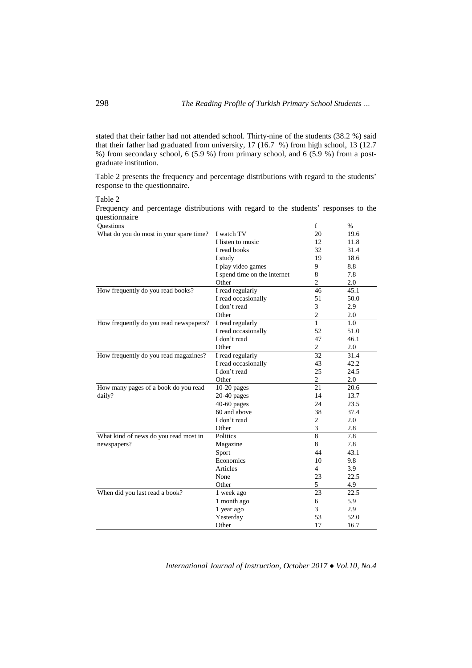stated that their father had not attended school. Thirty-nine of the students (38.2 %) said that their father had graduated from university, 17 (16.7 %) from high school, 13 (12.7 %) from secondary school, 6 (5.9 %) from primary school, and 6 (5.9 %) from a postgraduate institution.

Table 2 presents the frequency and percentage distributions with regard to the students' response to the questionnaire.

Table 2

Frequency and percentage distributions with regard to the students' responses to the questionnaire

| Questions                               |                              | $\mathbf f$      | $\%$ |
|-----------------------------------------|------------------------------|------------------|------|
| What do you do most in your spare time? | I watch TV                   | 20               | 19.6 |
|                                         | I listen to music            | 12               | 11.8 |
|                                         | I read books                 | 32               | 31.4 |
|                                         | I study                      | 19               | 18.6 |
|                                         | I play video games           | 9                | 8.8  |
|                                         | I spend time on the internet | 8                | 7.8  |
|                                         | Other                        | $\overline{c}$   | 2.0  |
| How frequently do you read books?       | I read regularly             | 46               | 45.1 |
|                                         | I read occasionally          | 51               | 50.0 |
|                                         | I don't read                 | 3                | 2.9  |
|                                         | Other                        | $\overline{c}$   | 2.0  |
| How frequently do you read newspapers?  | I read regularly             | $\mathbf{1}$     | 1.0  |
|                                         | I read occasionally          | 52               | 51.0 |
|                                         | I don't read                 | 47               | 46.1 |
|                                         | Other                        | 2                | 2.0  |
| How frequently do you read magazines?   | I read regularly             | 32               | 31.4 |
|                                         | I read occasionally          | 43               | 42.2 |
|                                         | I don't read                 | 25               | 24.5 |
|                                         | Other                        | $\boldsymbol{2}$ | 2.0  |
| How many pages of a book do you read    | $10-20$ pages                | 21               | 20.6 |
| daily?                                  | 20-40 pages                  | 14               | 13.7 |
|                                         | 40-60 pages                  | 24               | 23.5 |
|                                         | 60 and above                 | 38               | 37.4 |
|                                         | I don't read                 | $\overline{2}$   | 2.0  |
|                                         | Other                        | 3                | 2.8  |
| What kind of news do you read most in   | Politics                     | $\overline{8}$   | 7.8  |
| newspapers?                             | Magazine                     | 8                | 7.8  |
|                                         | Sport                        | 44               | 43.1 |
|                                         | Economics                    | 10               | 9.8  |
|                                         | Articles                     | $\overline{4}$   | 3.9  |
|                                         | None                         | 23               | 22.5 |
|                                         | Other                        | 5                | 4.9  |
| When did you last read a book?          | 1 week ago                   | 23               | 22.5 |
|                                         | 1 month ago                  | 6                | 5.9  |
|                                         | 1 year ago                   | 3                | 2.9  |
|                                         | Yesterday                    | 53               | 52.0 |
|                                         | Other                        | 17               | 16.7 |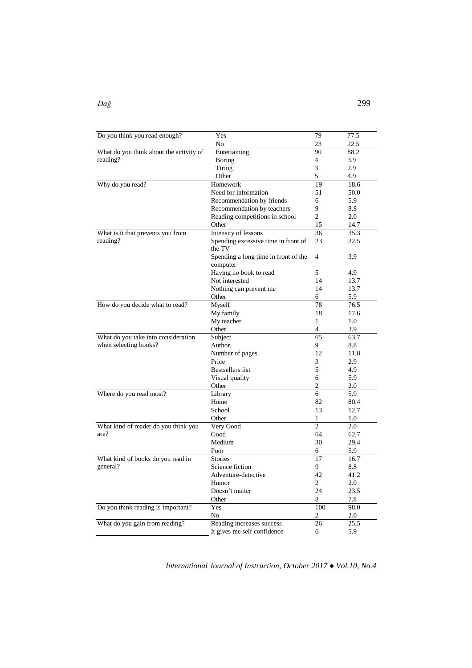| Do you think you read enough?           | Yes                                  | 79             | 77.5 |
|-----------------------------------------|--------------------------------------|----------------|------|
|                                         | No                                   | 23             | 22.5 |
| What do you think about the activity of | Entertaining                         | 90             | 88.2 |
| reading?                                | Boring                               | 4              | 3.9  |
|                                         | Tiring                               | 3              | 2.9  |
|                                         | Other                                | 5              | 4.9  |
| Why do you read?                        | Homework                             | 19             | 18.6 |
|                                         | Need for information                 | 51             | 50.0 |
|                                         | Recommendation by friends            | 6              | 5.9  |
|                                         | Recommendation by teachers           | 9              | 8.8  |
|                                         | Reading competitions in school       | $\overline{c}$ | 2.0  |
|                                         | Other                                | 15             | 14.7 |
| What is it that prevents you from       | Intensity of lessons                 | 36             | 35.3 |
| reading?                                | Spending excessive time in front of  | 23             | 22.5 |
|                                         | the TV                               |                |      |
|                                         | Spending a long time in front of the | 4              | 3.9  |
|                                         | computer                             |                |      |
|                                         | Having no book to read               | 5              | 4.9  |
|                                         | Not interested                       | 14             | 13.7 |
|                                         | Nothing can prevent me               | 14             | 13.7 |
|                                         | Other                                | 6              | 5.9  |
| How do you decide what to read?         | Myself                               | 78             | 76.5 |
|                                         | My family                            | 18             | 17.6 |
|                                         | My teacher                           | 1              | 1.0  |
|                                         | Other                                | $\overline{4}$ | 3.9  |
| What do you take into consideration     | Subject                              | 65             | 63.7 |
| when selecting books?                   | Author                               | 9              | 8.8  |
|                                         | Number of pages                      | 12             | 11.8 |
|                                         | Price                                | 3              | 2.9  |
|                                         | <b>Bestsellers</b> list              | 5              | 4.9  |
|                                         | Visual quality                       | 6              | 5.9  |
|                                         | Other                                | $\overline{c}$ | 2.0  |
| Where do you read most?                 | Library                              | 6              | 5.9  |
|                                         | Home                                 | 82             | 80.4 |
|                                         | School                               | 13             | 12.7 |
|                                         | Other                                | 1              | 1.0  |
| What kind of reader do you think you    | Very Good                            | $\overline{c}$ | 2.0  |
| are?                                    | Good                                 | 64             | 62.7 |
|                                         | Medium                               | 30             | 29.4 |
|                                         | Poor                                 | 6              | 5.9  |
| What kind of books do you read in       | <b>Stories</b>                       | 17             | 16.7 |
| general?                                | Science fiction                      | 9              | 8.8  |
|                                         | Adventure-detective                  | 42             | 41.2 |
|                                         | Humor                                | 2              | 2.0  |
|                                         | Doesn't matter                       | 24             | 23.5 |
|                                         | Other                                | 8              | 7.8  |
| Do you think reading is important?      | Yes                                  | 100            | 98.0 |
|                                         | No                                   | 2              | 2.0  |
| What do you gain from reading?          | Reading increases success            | 26             | 25.5 |
|                                         | It gives me self confidence          | 6              | 5.9  |
|                                         |                                      |                |      |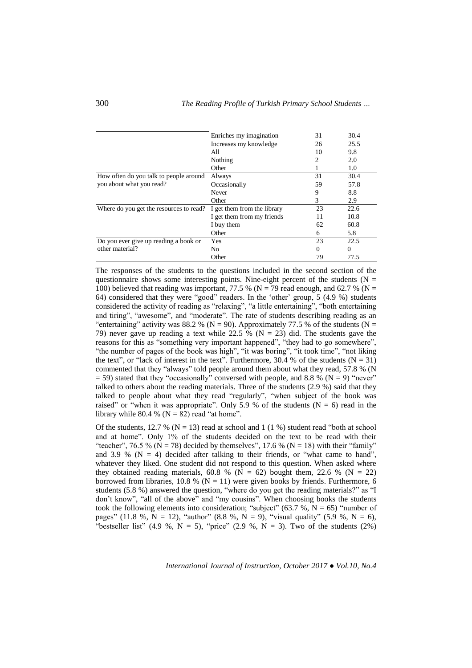|                                         | 31                          | 30.4 |          |
|-----------------------------------------|-----------------------------|------|----------|
|                                         | Increases my knowledge      | 26   | 25.5     |
|                                         | All                         | 10   | 9.8      |
|                                         | Nothing                     | 2    | 2.0      |
|                                         | Other                       |      | 1.0      |
| How often do you talk to people around  | Always                      | 31   | 30.4     |
| you about what you read?                | Occasionally                | 59   | 57.8     |
|                                         | Never                       | 9    | 8.8      |
|                                         | Other                       | 3    | 2.9      |
| Where do you get the resources to read? | I get them from the library | 23   | 22.6     |
|                                         | I get them from my friends  | 11   | 10.8     |
|                                         | I buy them                  | 62   | 60.8     |
|                                         | Other                       | 6    | 5.8      |
| Do you ever give up reading a book or   | Yes                         | 23   | 22.5     |
| other material?                         | N <sub>0</sub>              | 0    | $\Omega$ |
|                                         | Other                       | 79   | 77.5     |

The responses of the students to the questions included in the second section of the questionnaire shows some interesting points. Nine-eight percent of the students ( $N =$ 100) believed that reading was important, 77.5 % ( $N = 79$  read enough, and 62.7 % ( $N =$ 64) considered that they were "good" readers. In the 'other' group, 5 (4.9 %) students considered the activity of reading as "relaxing", "a little entertaining", "both entertaining and tiring", "awesome", and "moderate". The rate of students describing reading as an "entertaining" activity was 88.2 % ( $N = 90$ ). Approximately 77.5 % of the students ( $N =$ 79) never gave up reading a text while 22.5 % ( $N = 23$ ) did. The students gave the reasons for this as "something very important happened", "they had to go somewhere", "the number of pages of the book was high", "it was boring", "it took time", "not liking the text", or "lack of interest in the text". Furthermore, 30.4 % of the students ( $N = 31$ ) commented that they "always" told people around them about what they read, 57.8 % (N  $=$  59) stated that they "occasionally" conversed with people, and 8.8 % (N  $=$  9) "never" talked to others about the reading materials. Three of the students (2.9 %) said that they talked to people about what they read "regularly", "when subject of the book was raised" or "when it was appropriate". Only 5.9 % of the students ( $N = 6$ ) read in the library while 80.4 % ( $N = 82$ ) read "at home".

Of the students,  $12.7\%$  (N = 13) read at school and 1 (1 %) student read "both at school and at home". Only 1% of the students decided on the text to be read with their "teacher", 76.5 % (N = 78) decided by themselves", 17.6 % (N = 18) with their "family" and 3.9 % ( $N = 4$ ) decided after talking to their friends, or "what came to hand", whatever they liked. One student did not respond to this question. When asked where they obtained reading materials, 60.8 % ( $\overline{N}$  = 62) bought them, 22.6 % ( $\overline{N}$  = 22) borrowed from libraries, 10.8 % ( $N = 11$ ) were given books by friends. Furthermore, 6 students (5.8 %) answered the question, "where do you get the reading materials?" as "I don't know", "all of the above" and "my cousins". When choosing books the students took the following elements into consideration; "subject" (63.7 %,  $N = 65$ ) "number of pages" (11.8 %,  $N = 12$ ), "author" (8.8 %,  $N = 9$ ), "visual quality" (5.9 %,  $N = 6$ ), "bestseller list" (4.9 %, N = 5), "price" (2.9 %, N = 3). Two of the students (2%)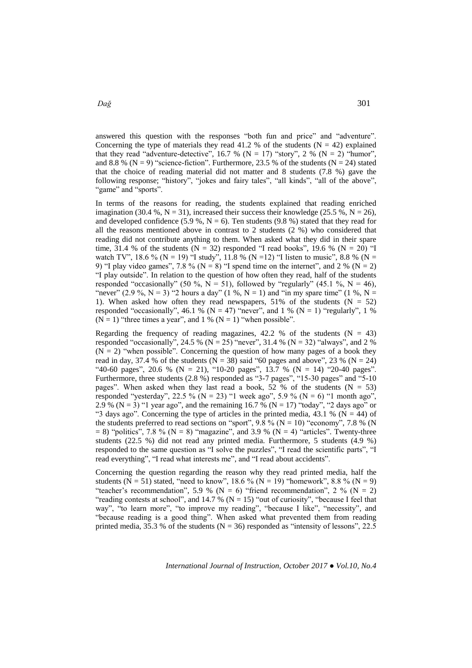answered this question with the responses "both fun and price" and "adventure". Concerning the type of materials they read 41.2 % of the students  $(N = 42)$  explained that they read "adventure-detective",  $16.7 %$  (N = 17) "story", 2 % (N = 2) "humor", and 8.8 % ( $N = 9$ ) "science-fiction". Furthermore, 23.5 % of the students ( $N = 24$ ) stated that the choice of reading material did not matter and 8 students (7.8 %) gave the following response; "history", "jokes and fairy tales", "all kinds", "all of the above", "game" and "sports".

In terms of the reasons for reading, the students explained that reading enriched imagination (30.4 %, N = 31), increased their success their knowledge (25.5 %, N = 26), and developed confidence (5.9 %,  $N = 6$ ). Ten students (9.8 %) stated that they read for all the reasons mentioned above in contrast to 2 students (2 %) who considered that reading did not contribute anything to them. When asked what they did in their spare time, 31.4 % of the students  $(N = 32)$  responded "I read books", 19.6 %  $(N = 20)$  "I watch TV", 18.6 % (N = 19) "I study", 11.8 % (N = 12) "I listen to music", 8.8 % (N = 9) "I play video games", 7.8 % ( $N = 8$ ) "I spend time on the internet", and 2 % ( $N = 2$ ) "I play outside". In relation to the question of how often they read, half of the students responded "occasionally" (50 %,  $N = 51$ ), followed by "regularly" (45.1 %,  $N = 46$ ), "never" (2.9 %, N = 3) "2 hours a day" (1 %, N = 1) and "in my spare time" (1 %, N = 1). When asked how often they read newspapers, 51% of the students  $(N = 52)$ responded "occasionally", 46.1 % (N = 47) "never", and 1 % (N = 1) "regularly", 1 %  $(N = 1)$  "three times a year", and 1 %  $(N = 1)$  "when possible".

Regarding the frequency of reading magazines,  $42.2$  % of the students (N = 43) responded "occasionally", 24.5 % (N = 25) "never", 31.4 % (N = 32) "always", and 2 %  $(N = 2)$  "when possible". Concerning the question of how many pages of a book they read in day, 37.4 % of the students ( $N = 38$ ) said "60 pages and above", 23 % ( $N = 24$ ) "40-60 pages", 20.6 % (N = 21), "10-20 pages", 13.7 % (N = 14) "20-40 pages". Furthermore, three students (2.8 %) responded as "3-7 pages", "15-30 pages" and "5-10" pages". When asked when they last read a book, 52 % of the students ( $N = 53$ ) responded "yesterday", 22.5 % (N = 23) "1 week ago", 5.9 % (N = 6) "1 month ago", 2.9 % (N = 3) "1 year ago", and the remaining 16.7 % (N = 17) "today", "2 days ago" or "3 days ago". Concerning the type of articles in the printed media, 43.1 % ( $N = 44$ ) of the students preferred to read sections on "sport",  $9.8\%$  (N = 10) "economy", 7.8 % (N  $= 8$ ) "politics", 7.8 % (N  $= 8$ ) "magazine", and 3.9 % (N  $= 4$ ) "articles". Twenty-three students (22.5 %) did not read any printed media. Furthermore, 5 students (4.9 %) responded to the same question as "I solve the puzzles", "I read the scientific parts", "I read everything", "I read what interests me", and "I read about accidents".

Concerning the question regarding the reason why they read printed media, half the students (N = 51) stated, "need to know", 18.6 % (N = 19) "homework", 8.8 % (N = 9) "teacher's recommendation", 5.9 % ( $N = 6$ ) "friend recommendation", 2 % ( $N = 2$ ) "reading contests at school", and 14.7 % ( $N = 15$ ) "out of curiosity", "because I feel that way", "to learn more", "to improve my reading", "because I like", "necessity", and "because reading is a good thing". When asked what prevented them from reading printed media, 35.3 % of the students ( $N = 36$ ) responded as "intensity of lessons", 22.5

*International Journal of Instruction, October 2017 ● Vol.10, No.4*

*Dağ* 301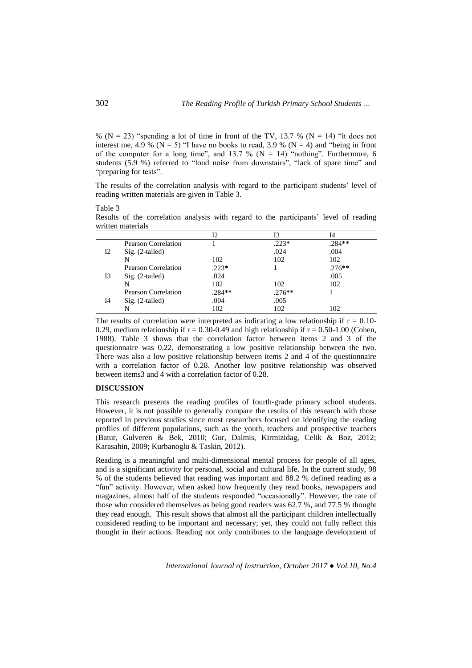% ( $N = 23$ ) "spending a lot of time in front of the TV, 13.7 % ( $N = 14$ ) "it does not interest me, 4.9 % ( $N = 5$ ) "I have no books to read, 3.9 % ( $N = 4$ ) and "being in front of the computer for a long time", and 13.7 % ( $N = 14$ ) "nothing". Furthermore, 6 students (5.9 %) referred to "loud noise from downstairs", "lack of spare time" and "preparing for tests".

The results of the correlation analysis with regard to the participant students' level of reading written materials are given in Table 3.

Table 3

Results of the correlation analysis with regard to the participants' level of reading written materials

|    |                     | Ι2       | Ι3       | Ī4       |  |
|----|---------------------|----------|----------|----------|--|
|    | Pearson Correlation |          | $.223*$  | $.284**$ |  |
| 12 | $Sig. (2-tailed)$   |          | .024     | .004     |  |
|    | N                   | 102      | 102      | 102      |  |
| 13 | Pearson Correlation | $.223*$  |          | $.276**$ |  |
|    | $Sig. (2-tailed)$   | .024     |          | .005     |  |
|    | N                   | 102      | 102      | 102      |  |
| I4 | Pearson Correlation | $.284**$ | $.276**$ |          |  |
|    | $Sig. (2-tailed)$   | .004     | .005     |          |  |
|    | N                   | 102      | 102      | 102      |  |

The results of correlation were interpreted as indicating a low relationship if  $r = 0.10$ -0.29, medium relationship if  $r = 0.30$ -0.49 and high relationship if  $r = 0.50$ -1.00 (Cohen, 1988). Table 3 shows that the correlation factor between items 2 and 3 of the questionnaire was 0.22, demonstrating a low positive relationship between the two. There was also a low positive relationship between items 2 and 4 of the questionnaire with a correlation factor of 0.28. Another low positive relationship was observed between items3 and 4 with a correlation factor of 0.28.

## **DISCUSSION**

This research presents the reading profiles of fourth-grade primary school students. However, it is not possible to generally compare the results of this research with those reported in previous studies since most researchers focused on identifying the reading profiles of different populations, such as the youth, teachers and prospective teachers (Batur, Gulveren & Bek, 2010; Gur, Dalmis, Kirmizidag, Celik & Boz, 2012; Karasahin, 2009; Kurbanoglu & Taskin, 2012).

Reading is a meaningful and multi-dimensional mental process for people of all ages, and is a significant activity for personal, social and cultural life. In the current study, 98 % of the students believed that reading was important and 88.2 % defined reading as a "fun" activity. However, when asked how frequently they read books, newspapers and magazines, almost half of the students responded "occasionally". However, the rate of those who considered themselves as being good readers was 62.7 %, and 77.5 % thought they read enough. This result shows that almost all the participant children intellectually considered reading to be important and necessary; yet, they could not fully reflect this thought in their actions. Reading not only contributes to the language development of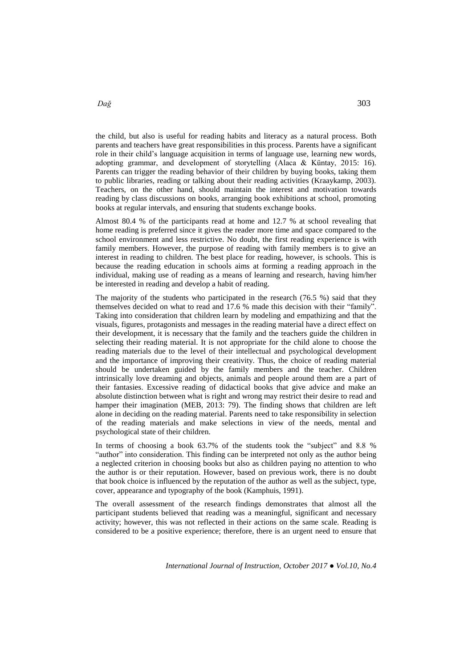the child, but also is useful for reading habits and literacy as a natural process. Both parents and teachers have great responsibilities in this process. Parents have a significant role in their child's language acquisition in terms of language use, learning new words, adopting grammar, and development of storytelling (Alaca & Küntay, 2015: 16). Parents can trigger the reading behavior of their children by buying books, taking them to public libraries, reading or talking about their reading activities (Kraaykamp, 2003). Teachers, on the other hand, should maintain the interest and motivation towards reading by class discussions on books, arranging book exhibitions at school, promoting books at regular intervals, and ensuring that students exchange books.

Almost 80.4 % of the participants read at home and 12.7 % at school revealing that home reading is preferred since it gives the reader more time and space compared to the school environment and less restrictive. No doubt, the first reading experience is with family members. However, the purpose of reading with family members is to give an interest in reading to children. The best place for reading, however, is schools. This is because the reading education in schools aims at forming a reading approach in the individual, making use of reading as a means of learning and research, having him/her be interested in reading and develop a habit of reading.

The majority of the students who participated in the research (76.5 %) said that they themselves decided on what to read and 17.6 % made this decision with their "family". Taking into consideration that children learn by modeling and empathizing and that the visuals, figures, protagonists and messages in the reading material have a direct effect on their development, it is necessary that the family and the teachers guide the children in selecting their reading material. It is not appropriate for the child alone to choose the reading materials due to the level of their intellectual and psychological development and the importance of improving their creativity. Thus, the choice of reading material should be undertaken guided by the family members and the teacher. Children intrinsically love dreaming and objects, animals and people around them are a part of their fantasies. Excessive reading of didactical books that give advice and make an absolute distinction between what is right and wrong may restrict their desire to read and hamper their imagination (MEB, 2013: 79). The finding shows that children are left alone in deciding on the reading material. Parents need to take responsibility in selection of the reading materials and make selections in view of the needs, mental and psychological state of their children.

In terms of choosing a book 63.7% of the students took the "subject" and 8.8 % "author" into consideration. This finding can be interpreted not only as the author being a neglected criterion in choosing books but also as children paying no attention to who the author is or their reputation. However, based on previous work, there is no doubt that book choice is influenced by the reputation of the author as well as the subject, type, cover, appearance and typography of the book (Kamphuis, 1991).

The overall assessment of the research findings demonstrates that almost all the participant students believed that reading was a meaningful, significant and necessary activity; however, this was not reflected in their actions on the same scale. Reading is considered to be a positive experience; therefore, there is an urgent need to ensure that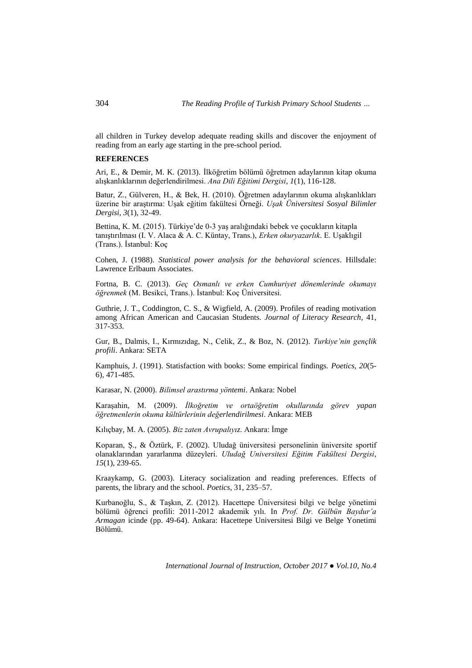all children in Turkey develop adequate reading skills and discover the enjoyment of reading from an early age starting in the pre-school period.

### **REFERENCES**

Ari, E., & Demir, M. K. (2013). İlköğretim bölümü öğretmen adaylarının kitap okuma alışkanlıklarının değerlendirilmesi. *Ana Dili Eğitimi Dergisi, 1*(1), 116-128.

Batur, Z., Gülveren, H., & Bek, H. (2010). Öğretmen adaylarının okuma alışkanlıkları üzerine bir araştırma: Uşak eğitim fakültesi Örneği. *Uşak Üniversitesi Sosyal Bilimler Dergisi, 3*(1), 32-49.

Bettina, K. M. (2015). Türkiye'de 0-3 yaş aralığındaki bebek ve çocukların kitapla tanıştırılması (I. V. Alaca & A. C. Küntay, Trans.), *Erken okuryazarlık*. E. Uşaklıgil (Trans.). İstanbul: Koç

Cohen, J. (1988). *Statistical power analysis for the behavioral sciences*. Hillsdale: Lawrence Erlbaum Associates.

Fortna, B. C. (2013). *Geç Osmanlı ve erken Cumhuriyet dönemlerinde okumayı öğrenmek* (M. Besikci, Trans.). İstanbul: Koç Üniversitesi.

Guthrie, J. T., Coddington, C. S., & Wigfield, A. (2009). Profiles of reading motivation among African American and Caucasian Students. *Journal of Literacy Research*, 41, 317-353.

Gur, B., Dalmis, I., Kırmızıdag, N., Celik, Z., & Boz, N. (2012). *Turkiye'nin gençlik profili*. Ankara: SETA

Kamphuis, J. (1991). Statisfaction with books: Some empirical findings. *Poetics, 20*(5- 6), 471-485.

Karasar, N. (2000). *Bilimsel arastırma yöntemi*. Ankara: Nobel

Karaşahin, M. (2009). *İlkoğretim ve ortaöğretim okullarında görev yapan öğretmenlerin okuma kültürlerinin değerlendirilmesi*. Ankara: MEB

Kılıçbay, M. A. (2005). *Biz zaten Avrupalıyız*. Ankara: İmge

Koparan, Ş., & Öztürk, F. (2002). Uludağ üniversitesi personelinin üniversite sportif olanaklarından yararlanma düzeyleri. *Uludağ Universitesi Eğitim Fakültesi Dergisi*, *15*(1), 239-65.

Kraaykamp, G. (2003). Literacy socialization and reading preferences. Effects of parents, the library and the school. *Poetics*, 31, 235–57.

Kurbanoğlu, S., & Taşkın, Z. (2012). Hacettepe Üniversitesi bilgi ve belge yönetimi bölümü öğrenci profili: 2011-2012 akademik yılı. In *Prof. Dr. Gülbün Baydur'a Armagan* icinde (pp. 49-64). Ankara: Hacettepe Universitesi Bilgi ve Belge Yonetimi Bölümü.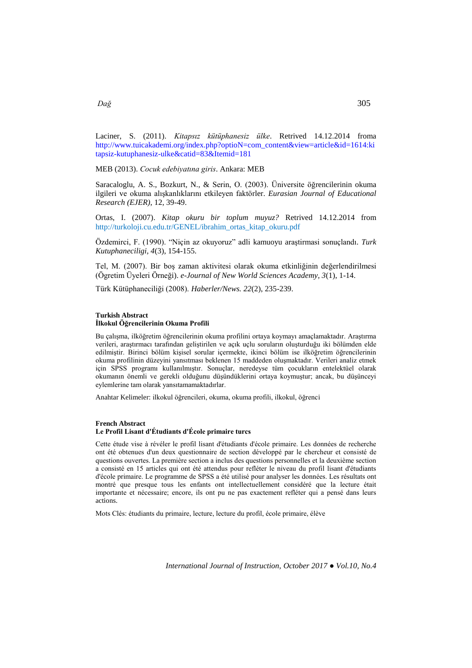Laciner, S. (2011). *Kitapsız kütüphanesiz ülke*. Retrived 14.12.2014 froma [http://www.tuicakademi.org/index.php?optioN=com\\_content&view=article&id=1614:ki](http://www.tuicakademi.org/index.php?optioN=com_content&view=article&id=1614:kitapsiz-kutuphanesiz-ulke&catid=83&Itemid=181) [tapsiz-kutuphanesiz-ulke&catid=83&Itemid=181](http://www.tuicakademi.org/index.php?optioN=com_content&view=article&id=1614:kitapsiz-kutuphanesiz-ulke&catid=83&Itemid=181) 

MEB (2013). *Cocuk edebiyatına giris*. Ankara: MEB

Saracaloglu, A. S., Bozkurt, N., & Serin, O. (2003). Üniversite öğrencilerinin okuma ilgileri ve okuma alışkanlıklarını etkileyen faktörler. *Eurasian Journal of Educational Research (EJER)*, 12, 39-49.

Ortas, I. (2007). *Kitap okuru bir toplum muyuz?* Retrived 14.12.2014 from [http://turkoloji.cu.edu.tr/GENEL/ibrahim\\_ortas\\_kitap\\_okuru.pdf](http://turkoloji.cu.edu.tr/GENEL/ibrahim_ortas_kitap_okuru.pdf)

Özdemirci, F. (1990). "Niçin az okuyoruz" adli kamuoyu araştirmasi sonuçlandı. *Turk Kutuphaneciligi, 4*(3), 154-155.

Tel, M. (2007). Bir boş zaman aktivitesi olarak okuma etkinliğinin değerlendirilmesi (Ögretim Üyeleri Örneği). *e-Journal of New World Sciences Academy, 3*(1), 1-14.

Türk Kütüphaneciliği (2008). *Haberler/News. 22*(2), 235-239.

#### **Turkish Abstract**

#### **İlkokul Öğrencilerinin Okuma Profili**

Bu çalışma, ilköğretim öğrencilerinin okuma profilini ortaya koymayı amaçlamaktadır. Araştırma verileri, araştırmacı tarafından geliştirilen ve açık uçlu soruların oluşturduğu iki bölümden elde edilmiştir. Birinci bölüm kişisel sorular içermekte, ikinci bölüm ise ilköğretim öğrencilerinin okuma profilinin düzeyini yansıtması beklenen 15 maddeden oluşmaktadır. Verileri analiz etmek için SPSS programı kullanılmıştır. Sonuçlar, neredeyse tüm çocukların entelektüel olarak okumanın önemli ve gerekli olduğunu düşündüklerini ortaya koymuştur; ancak, bu düşünceyi eylemlerine tam olarak yansıtamamaktadırlar.

Anahtar Kelimeler: ilkokul öğrencileri, okuma, okuma profili, ilkokul, öğrenci

#### **French Abstract Le Profil Lisant d'Étudiants d'École primaire turcs**

Cette étude vise à révéler le profil lisant d'étudiants d'école primaire. Les données de recherche ont été obtenues d'un deux questionnaire de section développé par le chercheur et consisté de questions ouvertes. La première section a inclus des questions personnelles et la deuxième section a consisté en 15 articles qui ont été attendus pour refléter le niveau du profil lisant d'étudiants d'école primaire. Le programme de SPSS a été utilisé pour analyser les données. Les résultats ont montré que presque tous les enfants ont intellectuellement considéré que la lecture était importante et nécessaire; encore, ils ont pu ne pas exactement refléter qui a pensé dans leurs actions.

Mots Clés: étudiants du primaire, lecture, lecture du profil, école primaire, élève

*International Journal of Instruction, October 2017 ● Vol.10, No.4*

*Dağ* 305